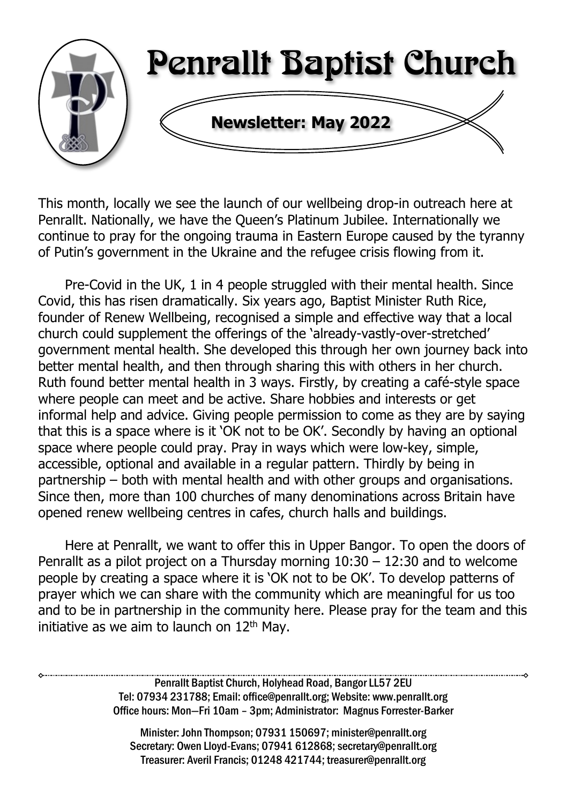

This month, locally we see the launch of our wellbeing drop-in outreach here at Penrallt. Nationally, we have the Queen's Platinum Jubilee. Internationally we continue to pray for the ongoing trauma in Eastern Europe caused by the tyranny of Putin's government in the Ukraine and the refugee crisis flowing from it.

Pre-Covid in the UK, 1 in 4 people struggled with their mental health. Since Covid, this has risen dramatically. Six years ago, Baptist Minister Ruth Rice, founder of Renew Wellbeing, recognised a simple and effective way that a local church could supplement the offerings of the 'already-vastly-over-stretched' government mental health. She developed this through her own journey back into better mental health, and then through sharing this with others in her church. Ruth found better mental health in 3 ways. Firstly, by creating a café-style space where people can meet and be active. Share hobbies and interests or get informal help and advice. Giving people permission to come as they are by saying that this is a space where is it 'OK not to be OK'. Secondly by having an optional space where people could pray. Pray in ways which were low-key, simple, accessible, optional and available in a regular pattern. Thirdly by being in partnership – both with mental health and with other groups and organisations. Since then, more than 100 churches of many denominations across Britain have opened renew wellbeing centres in cafes, church halls and buildings.

Here at Penrallt, we want to offer this in Upper Bangor. To open the doors of Penrallt as a pilot project on a Thursday morning 10:30 – 12:30 and to welcome people by creating a space where it is 'OK not to be OK'. To develop patterns of prayer which we can share with the community which are meaningful for us too and to be in partnership in the community here. Please pray for the team and this initiative as we aim to launch on  $12<sup>th</sup>$  May.

> Penrallt Baptist Church, Holyhead Road, Bangor LL57 2EU Tel: 07934 231788; Email: office@penrallt.org; Website: www.penrallt.org Office hours: Mon—Fri 10am – 3pm; Administrator: Magnus Forrester-Barker

Minister: John Thompson; 07931 150697; minister@penrallt.org Secretary: Owen Lloyd-Evans; 07941 612868; secretary@penrallt.org Treasurer: Averil Francis; 01248 421744; treasurer@penrallt.org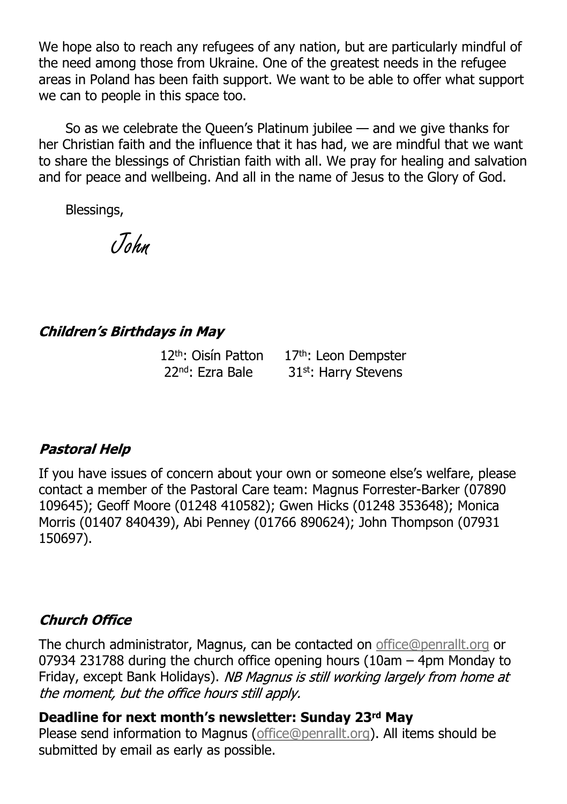We hope also to reach any refugees of any nation, but are particularly mindful of the need among those from Ukraine. One of the greatest needs in the refugee areas in Poland has been faith support. We want to be able to offer what support we can to people in this space too.

So as we celebrate the Queen's Platinum jubilee  $-$  and we give thanks for her Christian faith and the influence that it has had, we are mindful that we want to share the blessings of Christian faith with all. We pray for healing and salvation and for peace and wellbeing. And all in the name of Jesus to the Glory of God.

Blessings,

John

## **Children's Birthdays in May**

|                              | 12 <sup>th</sup> : Oisín Patton |  |
|------------------------------|---------------------------------|--|
| 22 <sup>nd</sup> : Ezra Bale |                                 |  |

17<sup>th</sup>: Leon Dempster 31st: Harry Stevens

## **Pastoral Help**

If you have issues of concern about your own or someone else's welfare, please contact a member of the Pastoral Care team: Magnus Forrester-Barker (07890 109645); Geoff Moore (01248 410582); Gwen Hicks (01248 353648); Monica Morris (01407 840439), Abi Penney (01766 890624); John Thompson (07931 150697).

## **Church Office**

The church administrator, Magnus, can be contacted on [office@penrallt.org](mailto:office@penrallt.org) or 07934 231788 during the church office opening hours (10am – 4pm Monday to Friday, except Bank Holidays). NB Magnus is still working largely from home at the moment, but the office hours still apply.

## **Deadline for next month's newsletter: Sunday 23rd May**

Please send information to Magnus [\(office@penrallt.org\)](mailto:office@penrallt.org). All items should be submitted by email as early as possible.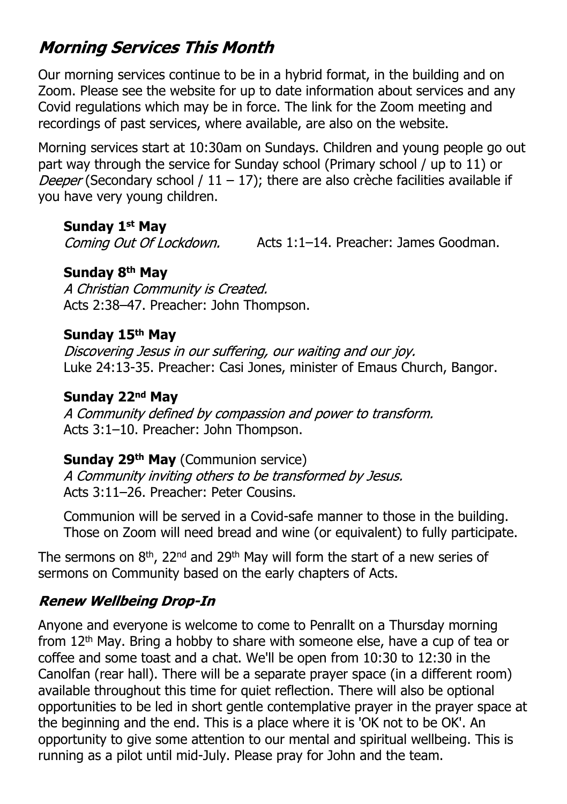# **Morning Services This Month**

Our morning services continue to be in a hybrid format, in the building and on Zoom. Please see the website for up to date information about services and any Covid regulations which may be in force. The link for the Zoom meeting and recordings of past services, where available, are also on the website.

Morning services start at 10:30am on Sundays. Children and young people go out part way through the service for Sunday school (Primary school / up to 11) or Deeper (Secondary school /  $11 - 17$ ); there are also crèche facilities available if you have very young children.

### **Sunday 1st May**

Acts 1:1–14. Preacher: James Goodman. Coming Out Of Lockdown.

## **Sunday 8th May**

A Christian Community is Created. Acts 2:38–47. Preacher: John Thompson.

### **Sunday 15th May**

Discovering Jesus in our suffering, our waiting and our joy. Luke 24:13-35. Preacher: Casi Jones, minister of Emaus Church, Bangor.

## **Sunday 22nd May**

A Community defined by compassion and power to transform. Acts 3:1–10. Preacher: John Thompson.

## **Sunday 29th May** (Communion service)

A Community inviting others to be transformed by Jesus. Acts 3:11–26. Preacher: Peter Cousins.

Communion will be served in a Covid-safe manner to those in the building. Those on Zoom will need bread and wine (or equivalent) to fully participate.

The sermons on 8<sup>th</sup>, 22<sup>nd</sup> and 29<sup>th</sup> May will form the start of a new series of sermons on Community based on the early chapters of Acts.

## **Renew Wellbeing Drop-In**

Anyone and everyone is welcome to come to Penrallt on a Thursday morning from 12th May. Bring a hobby to share with someone else, have a cup of tea or coffee and some toast and a chat. We'll be open from 10:30 to 12:30 in the Canolfan (rear hall). There will be a separate prayer space (in a different room) available throughout this time for quiet reflection. There will also be optional opportunities to be led in short gentle contemplative prayer in the prayer space at the beginning and the end. This is a place where it is 'OK not to be OK'. An opportunity to give some attention to our mental and spiritual wellbeing. This is running as a pilot until mid-July. Please pray for John and the team.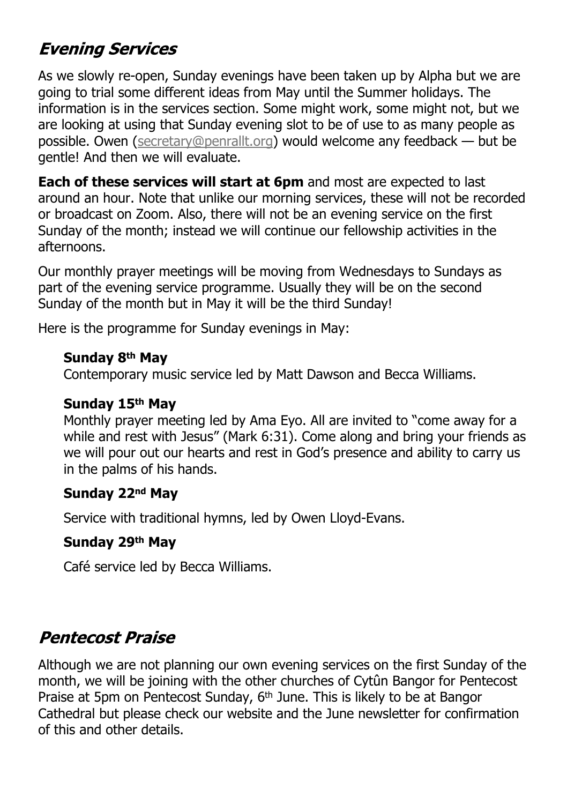# **Evening Services**

As we slowly re-open, Sunday evenings have been taken up by Alpha but we are going to trial some different ideas from May until the Summer holidays. The information is in the services section. Some might work, some might not, but we are looking at using that Sunday evening slot to be of use to as many people as possible. Owen ([secretary@penrallt.org](mailto:secretary@penrallt.org)) would welcome any feedback — but be gentle! And then we will evaluate.

**Each of these services will start at 6pm** and most are expected to last around an hour. Note that unlike our morning services, these will not be recorded or broadcast on Zoom. Also, there will not be an evening service on the first Sunday of the month; instead we will continue our fellowship activities in the afternoons.

Our monthly prayer meetings will be moving from Wednesdays to Sundays as part of the evening service programme. Usually they will be on the second Sunday of the month but in May it will be the third Sunday!

Here is the programme for Sunday evenings in May:

#### **Sunday 8th May**

Contemporary music service led by Matt Dawson and Becca Williams.

#### **Sunday 15th May**

Monthly prayer meeting led by Ama Eyo. All are invited to "come away for a while and rest with Jesus" (Mark 6:31). Come along and bring your friends as we will pour out our hearts and rest in God's presence and ability to carry us in the palms of his hands.

#### **Sunday 22nd May**

Service with traditional hymns, led by Owen Lloyd-Evans.

#### **Sunday 29th May**

Café service led by Becca Williams.

# **Pentecost Praise**

Although we are not planning our own evening services on the first Sunday of the month, we will be joining with the other churches of Cytûn Bangor for Pentecost Praise at 5pm on Pentecost Sunday, 6<sup>th</sup> June. This is likely to be at Bangor Cathedral but please check our website and the June newsletter for confirmation of this and other details.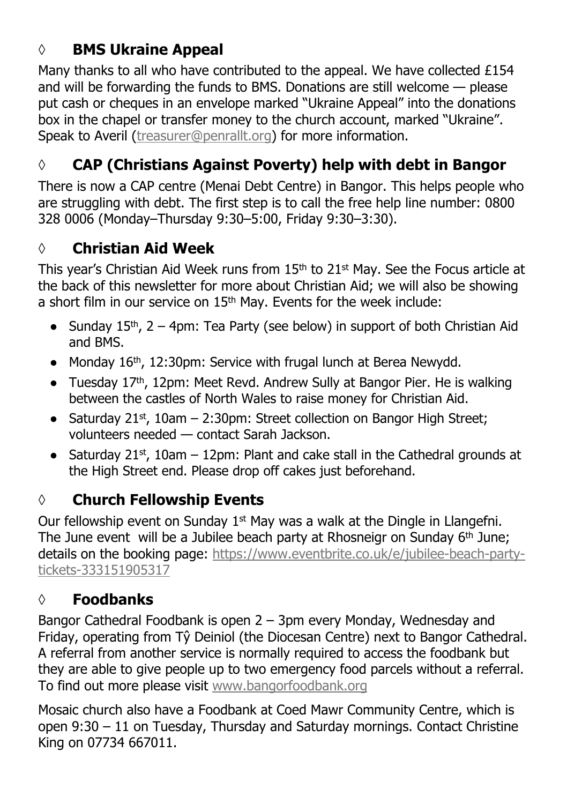# **◊ BMS Ukraine Appeal**

Many thanks to all who have contributed to the appeal. We have collected  $£154$ and will be forwarding the funds to BMS. Donations are still welcome — please put cash or cheques in an envelope marked "Ukraine Appeal" into the donations box in the chapel or transfer money to the church account, marked "Ukraine". Speak to Averil [\(treasurer@penrallt.org](mailto:treasurer@penrallt.org)) for more information.

# **◊ CAP (Christians Against Poverty) help with debt in Bangor**

There is now a CAP centre (Menai Debt Centre) in Bangor. This helps people who are struggling with debt. The first step is to call the free help line number: 0800 328 0006 (Monday–Thursday 9:30–5:00, Friday 9:30–3:30).

# **◊ Christian Aid Week**

This year's Christian Aid Week runs from  $15<sup>th</sup>$  to  $21<sup>st</sup>$  May. See the Focus article at the back of this newsletter for more about Christian Aid; we will also be showing a short film in our service on 15<sup>th</sup> May. Events for the week include:

- Sunday  $15<sup>th</sup>$ , 2 4pm: Tea Party (see below) in support of both Christian Aid and BMS.
- Monday 16<sup>th</sup>, 12:30pm: Service with frugal lunch at Berea Newydd.
- Tuesday  $17<sup>th</sup>$ , 12pm: Meet Revd. Andrew Sully at Bangor Pier. He is walking between the castles of North Wales to raise money for Christian Aid.
- Saturday 21st, 10am 2:30pm: Street collection on Bangor High Street; volunteers needed — contact Sarah Jackson.
- Saturday 21<sup>st</sup>, 10am 12pm: Plant and cake stall in the Cathedral grounds at the High Street end. Please drop off cakes just beforehand.

# **◊ Church Fellowship Events**

Our fellowship event on Sunday  $1<sup>st</sup>$  May was a walk at the Dingle in Llangefni. The June event will be a Jubilee beach party at Rhosneigr on Sunday 6<sup>th</sup> June; details on the booking page: [https://www.eventbrite.co.uk/e/jubilee-beach-party](https://www.eventbrite.co.uk/e/jubilee-beach-party-tickets-333151905317)[tickets-333151905317](https://www.eventbrite.co.uk/e/jubilee-beach-party-tickets-333151905317)

# **◊ Foodbanks**

Bangor Cathedral Foodbank is open 2 – 3pm every Monday, Wednesday and Friday, operating from Tŷ Deiniol (the Diocesan Centre) next to Bangor Cathedral. A referral from another service is normally required to access the foodbank but they are able to give people up to two emergency food parcels without a referral. To find out more please visit [www.bangorfoodbank.org](https://www.bangorfoodbank.org)

Mosaic church also have a Foodbank at Coed Mawr Community Centre, which is open 9:30 – 11 on Tuesday, Thursday and Saturday mornings. Contact Christine King on 07734 667011.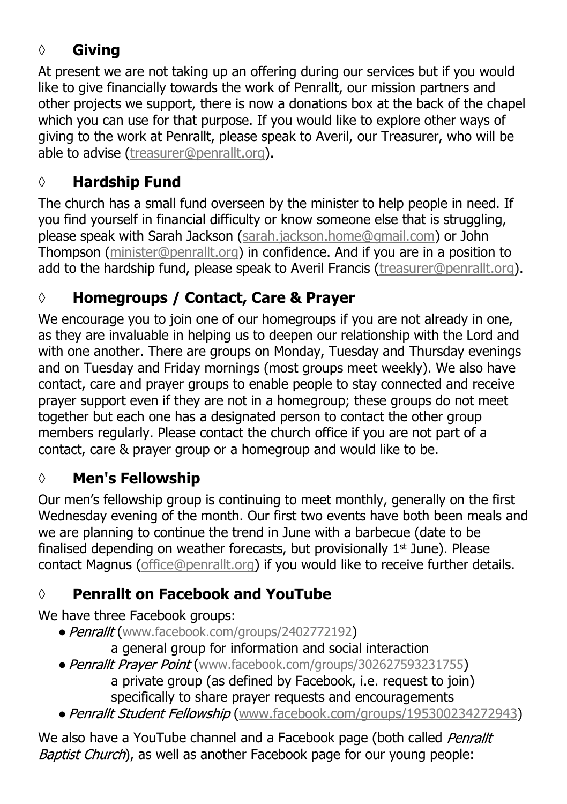# **◊ Giving**

At present we are not taking up an offering during our services but if you would like to give financially towards the work of Penrallt, our mission partners and other projects we support, there is now a donations box at the back of the chapel which you can use for that purpose. If you would like to explore other ways of giving to the work at Penrallt, please speak to Averil, our Treasurer, who will be able to advise [\(treasurer@penrallt.org](mailto:treasurer@penrallt.org)).

# **◊ Hardship Fund**

The church has a small fund overseen by the minister to help people in need. If you find yourself in financial difficulty or know someone else that is struggling, please speak with Sarah Jackson ([sarah.jackson.home@gmail.com](mailto:sarah.jackson.home@gmail.com)) or John Thompson ([minister@penrallt.org\)](mailto:minister@penrallt.org) in confidence. And if you are in a position to add to the hardship fund, please speak to Averil Francis ([treasurer@penrallt.org\)](mailto:treasurer@penrallt.org).

# **◊ Homegroups / Contact, Care & Prayer**

We encourage you to join one of our homegroups if you are not already in one. as they are invaluable in helping us to deepen our relationship with the Lord and with one another. There are groups on Monday, Tuesday and Thursday evenings and on Tuesday and Friday mornings (most groups meet weekly). We also have contact, care and prayer groups to enable people to stay connected and receive prayer support even if they are not in a homegroup; these groups do not meet together but each one has a designated person to contact the other group members regularly. Please contact the church office if you are not part of a contact, care & prayer group or a homegroup and would like to be.

# **◊ Men's Fellowship**

Our men's fellowship group is continuing to meet monthly, generally on the first Wednesday evening of the month. Our first two events have both been meals and we are planning to continue the trend in June with a barbecue (date to be finalised depending on weather forecasts, but provisionally  $1<sup>st</sup>$  June). Please contact Magnus ([office@penrallt.org](mailto:office@penrallt.org)) if you would like to receive further details.

# **◊ Penrallt on Facebook and YouTube**

We have three Facebook groups:

- Penrallt ([www.facebook.com/groups/2402772192](https://www.facebook.com/groups/2402772192))
	- a general group for information and social interaction
- Penrallt Prayer Point ([www.facebook.com/groups/302627593231755](https://www.facebook.com/groups/302627593231755)) a private group (as defined by Facebook, i.e. request to join) specifically to share prayer requests and encouragements
- Penrallt Student Fellowship ([www.facebook.com/groups/195300234272943](https://www.facebook.com/groups/195300234272943))

We also have a YouTube channel and a Facebook page (both called Penrallt Baptist Church), as well as another Facebook page for our young people: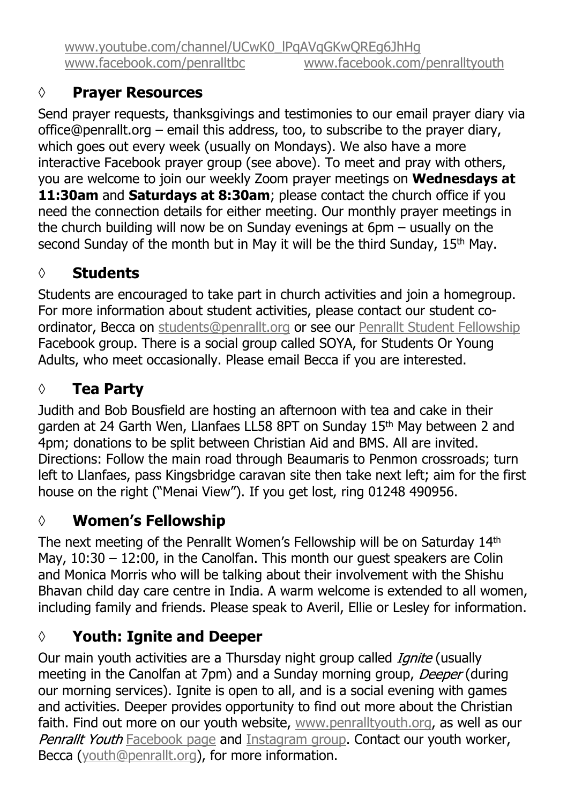[www.youtube.com/channel/UCwK0\\_lPqAVqGKwQREg6JhHg](https://www.youtube.com/channel/UCwK0_lPqAVqGKwQREg6JhHg)<br>www.facebook.com/penralltbc www.facebook.com [www.facebook.com/penralltyouth](https://www.facebook.com/penralltyouth)

## **◊ Prayer Resources**

Send prayer requests, thanksgivings and testimonies to our email prayer diary via office@penrallt.org – email this address, too, to subscribe to the prayer diary, which goes out every week (usually on Mondays). We also have a more interactive Facebook prayer group (see above). To meet and pray with others, you are welcome to join our weekly Zoom prayer meetings on **Wednesdays at 11:30am** and **Saturdays at 8:30am**; please contact the church office if you need the connection details for either meeting. Our monthly prayer meetings in the church building will now be on Sunday evenings at 6pm – usually on the second Sunday of the month but in May it will be the third Sunday, 15<sup>th</sup> May.

## **◊ Students**

Students are encouraged to take part in church activities and join a homegroup. For more information about student activities, please contact our student coordinator, Becca on [students@penrallt.org](mailto:students@penrallt.org) or see our [Penrallt Student Fellowship](https://www.facebook.com/groups/195300234272943) Facebook group. There is a social group called SOYA, for Students Or Young Adults, who meet occasionally. Please email Becca if you are interested.

## **◊ Tea Party**

Judith and Bob Bousfield are hosting an afternoon with tea and cake in their garden at 24 Garth Wen, Llanfaes LL58 8PT on Sunday 15<sup>th</sup> May between 2 and 4pm; donations to be split between Christian Aid and BMS. All are invited. Directions: Follow the main road through Beaumaris to Penmon crossroads; turn left to Llanfaes, pass Kingsbridge caravan site then take next left; aim for the first house on the right ("Menai View"). If you get lost, ring 01248 490956.

## **◊ Women's Fellowship**

The next meeting of the Penrallt Women's Fellowship will be on Saturday 14th May, 10:30 – 12:00, in the Canolfan. This month our guest speakers are Colin and Monica Morris who will be talking about their involvement with the Shishu Bhavan child day care centre in India. A warm welcome is extended to all women, including family and friends. Please speak to Averil, Ellie or Lesley for information.

# **◊ Youth: Ignite and Deeper**

Our main youth activities are a Thursday night group called *Ignite* (usually meeting in the Canolfan at 7pm) and a Sunday morning group, Deeper (during our morning services). Ignite is open to all, and is a social evening with games and activities. Deeper provides opportunity to find out more about the Christian faith. Find out more on our youth website, [www.penralltyouth.org,](https://www.penralltyouth.org/) as well as our Penrallt Youth [Facebook page](https://www.facebook.com/penralltyouth) and [Instagram group](https://www.instagram.com/penralltyouth/). Contact our youth worker, Becca ([youth@penrallt.org\)](mailto:youth@penrallt.org), for more information.